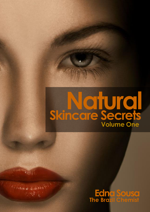## **Natural Skincare Secrets Volume One**

 $\label{eq:1} \begin{array}{c} \displaystyle \frac{1}{2} \int_{\mathbb{R}^3} \int_{\mathbb{R}^3} \int_{\mathbb{R}^3} \int_{\mathbb{R}^3} \int_{\mathbb{R}^3} \int_{\mathbb{R}^3} \int_{\mathbb{R}^3} \int_{\mathbb{R}^3} \int_{\mathbb{R}^3} \int_{\mathbb{R}^3} \int_{\mathbb{R}^3} \int_{\mathbb{R}^3} \int_{\mathbb{R}^3} \int_{\mathbb{R}^3} \int_{\mathbb{R}^3} \int_{\mathbb{R}^3} \int_{\$ 

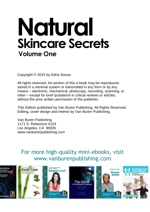# **Natural Skincare Secrets Volume One**

Copyright © 2015 by Edna Sousa.

All rights reserved. No portion of this e-book may be reproduced, stored in a retrieval system or transmitted in any form or by any means – electronic, mechanical, photocopy, recording, scanning, or other – except for brief quotations in critical reviews or articles, without the prior written permission of the publisher.

This Edition published by Van Buren Publishing. All Rights Reserved. Editing, cover design and interior by Van Buren Publishing.

Van Buren Publishing 1171 S. Robertson #124 Los Angeles, CA 90035 [www.vanburenpublishing.com](http://www.vanburenpublishing.com/)

### For more high-quality mini-ebooks, visit [www.vanburenpublishing.com](http://www.vanburenpublishing.com/)

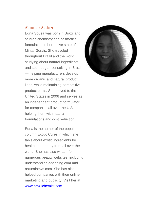#### **About the Author:**

Edna Sousa was born in Brazil and studied chemistry and cosmetics formulation in her native state of Minas Gerais. She traveled throughout Brazil and the world studying about natural ingredients and soon began consulting in Brazil — helping manufacturers develop more organic and natural product lines, while maintaining competitive product costs. She moved to the United States in 2006 and serves as an independent product formulator for companies all over the U.S., helping them with natural formulations and cost reduction.

Edna is the author of the popular column Exotic Cures in which she talks about exotic ingredients for health and beauty from all over the world. She has also written for numerous beauty websites, including understanding-antiaging.com and naturalnews.com. She has also helped companies with their online marketing and publicity. Visit her at [www.brazilchemist.com.](http://www.brazilchemist.com/)

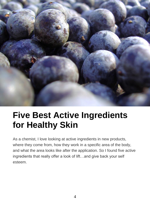

### **Five Best Active Ingredients for Healthy Skin**

As a chemist, I love looking at active ingredients in new products, where they come from, how they work in a specific area of the body, and what the area looks like after the application. So I found five active ingredients that really offer a look of lift…and give back your self esteem.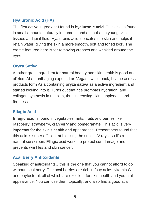### **Hyaluronic Acid (HA)**

The first active ingredient I found is **hyaluronic acid.** This acid is found in small amounts naturally in humans and animals…in young skin, tissues and joint fluid. Hyaluronic acid lubricates the skin and helps it retain water, giving the skin a more smooth, soft and toned look. The creme featured here is for removing creases and wrinkled around the eyes.

### **Oryza Sativa**

Another great ingredient for natural beauty and skin health is good and ol' rice. At an anti-aging expo in Las Vegas awhile back, I came across products form Asia containing **oryza sativa** as a active ingredient and started looking into it. Turns out that rice promotes hydration, and collagen synthesis in the skin, thus increasing skin suppleness and firmness.

### **Ellagic Acid**

**Ellagic acid** is found in vegetables, nuts, fruits and berries like raspberry, strawberry, cranberry and pomegranate. This acid is very important for the skin's health and appearance. Researchers found that this acid is super efficient at blocking the sun's UV rays, so it's a natural sunscreen. Ellagic acid works to protect sun damage and prevents wrinkles and skin cancer.

### **Acai Berry Antioxidants**

Speaking of antioxidants…this is the one that you cannot afford to do without, acai berry. The acai berries are rich in fatty acids, vitamin C and phytosterol, all of which are excellent for skin health and youthful appearance. You can use them topically, and also find a good acai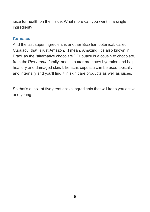juice for health on the inside. What more can you want in a single ingredient?

#### **Cupuacu**

And the last super ingredient is another Brazilian botanical, called Cupuacu, that is just Amazon…I mean, Amazing. It's also known in Brazil as the "alternative chocolate." Cupuacu is a cousin to chocolate, from the*Theobroma* family, and its butter promotes hydration and helps heal dry and damaged skin. Like acai, cupuacu can be used topically and internally and you'll find it in skin care products as well as juices.

So that's a look at five great active ingredients that will keep you active and young.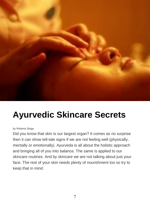

### **Ayurvedic Skincare Secrets**

#### by Roberta Striga

Did you know that skin is our largest organ? It comes as no surprise then it can show tell-tale signs if we are not feeling well (physically, mentally or emotionally). Ayurveda is all about the holistic approach and bringing all of you into balance. The same is applied to our skincare routines. And by skincare we are not talking about just your face. The rest of your skin needs plenty of nourishment too so try to keep that in mind.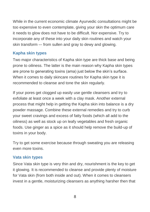While in the current economic climate Ayurvedic consultations might be too expensive to even contemplate, giving your skin the optimum care it needs to glow does not have to be difficult. Nor expensive. Try to incorporate any of these into your daily skin routines and watch your skin transform –- from sullen and gray to dewy and glowing.

#### **Kapha skin types**

Two major characteristics of Kapha skin type are thick base and being prone to oiliness. The latter is the main reason why Kapha skin types are prone to generating toxins (ama) just below the skin's surface. When it comes to daily skincare routines for Kapha skin type it is recommended to cleanse and tone the skin regularly.

If your pores get clogged up easily use gentle cleansers and try to exfoliate at least once a week with a clay mask. Another external process that might help in getting the Kapha skin into balance is a dry powder massage. Combine these external remedies and try to curb your sweet cravings and excess of fatty foods (which all add to the oiliness) as well as stock up on leafy vegetables and fresh organic foods. Use ginger as a spice as it should help remove the build-up of toxins in your body.

Try to get some exercise because through sweating you are releasing even more toxins.

#### **Vata skin types**

Since Vata skin type is very thin and dry, nourishment is the key to get it glowing. It is recommended to cleanse and provide plenty of moisture for Vata skin (from both inside and out). When it comes to cleansers invest in a gentle, moisturizing cleansers as anything harsher then that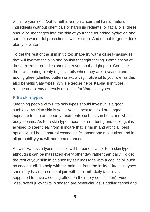will strip your skin. Opt for either a moisturizer that has all natural ingredients (without chemicals or harsh ingredients) or facial oils (these should be massaged into the skin of your face for added hydration and can be a wonderful protection in winter time). And do not forget to drink plenty of water!

To get the rest of the skin in tip top shape try warm oil self-massages that will hydrate the skin and banish that tight feeling. Combination of these external remedies should get you on the right path. Combine them with eating plenty of juicy fruits when they are in season and adding ghee (clarified butter) or extra virgin olive oil to your diet as this also benefits Vata types. While exercise helps Kapha skin types, routine and plenty of rest is essential for Vata skin types.

#### **Pitta skin types**

One thing people with Pitta skin types should invest in is a good sunblock. As Pitta skin is sensitive it is best to avoid prolonged exposure to sun and beauty treatments such as sun beds and whole body steams. As Pitta skin type needs both nurturing and cooling, it is advised to steer clear from skincare that is harsh and artificial, best option would be all-natural cosmetics (cleanser and moisturizer and in all probability you will not need a toner).

As with Vata skin types facial oil will be beneficial for Pitta skin types although it can be massaged every other day rather then daily. To get the rest of your skin in balance try self massage with a cooling oil such as coconut oil. To help with the balance from the inside Pitta skin types should try having rose petal jam with cool milk daily (as this is supposed to have a cooling effect on their fiery constitution). Food wise, sweet juicy fruits in season are beneficial, as is adding fennel and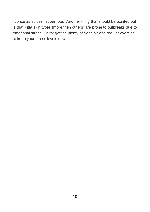licorice as spices in your food. Another thing that should be pointed out is that Pitta skin types (more then others) are prone to outbreaks due to emotional stress. So try getting plenty of fresh air and regular exercise to keep your stress levels down.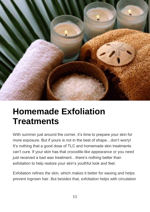

### **Homemade Exfoliation Treatments**

With summer just around the corner, it's time to prepare your skin for more exposure. But if yours is not in the best of shape…don't worry! It's nothing that a good dose of TLC and homemade skin treatments can't cure. If your skin has that crocodile-like appearance or you need just received a bad wax treatment...there's nothing better than exfoliation to help restore your skin's youthful look and feel.

Exfoliation refines the skin, which makes it better for waxing and helps prevent ingrown hair. But besides that, exfoliation helps with circulation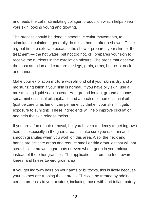and feeds the cells, stimulating collagen production which helps keep your skin looking young and glowing.

The process should be done in smooth, circular movements, to stimulate circulation. I generally do this at home, after a shower. This is a great time to exfoliate because the shower prepares your skin for the treatment — the hot water (but not too hot, ok) prepares your skin to receive the nutrients in the exfoliation mixture. The areas that deserve the most attention and care are the legs, groin, arms, buttocks, neck and hands.

Make your exfoliation mixture with almond oil if your skin is dry and a moisturizing lotion if your skin is normal. If you have oily skin, use a moisturizing liquid soap instead. Add ground loofah, ground almonds, spearmint essential oil, jojoba oil and a touch of lemon essential oil (just be careful as lemon can pemanently darken your skin if it gets exposure to sunlight). These ingredients will help improve circulation and help the skin release toxins.

If you are a fan of hair removal, but you have a tendency to get ingrown hairs — especially in the groin area — make sure you use thin and smooth granules when you work on this area. Also, the neck and hands are delicate areas and require small or thin granules that will not scratch. Use brown sugar, oats or even wheat germ in your mixture instead of the other granules. The application is from the feet toward knees, and knees toward groin area.

If you get ingrown hairs on your arms or buttocks, this is likely because your clothes are rubbing these areas. This can be treated by adding certain products to your mixture, including those with anti-inflammatory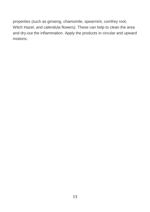properties (such as ginseng, chamomile, spearmint, comfrey root, Witch Hazel, and calendula flowers). These can help to clean the area and dry-out the inflammation. Apply the products in circular and upward motions.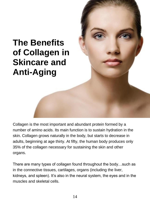### **The Benefits of Collagen in Skincare and Anti-Aging**



Collagen is the most important and abundant protein formed by a number of amino acids. Its main function is to sustain hydration in the skin. Collagen grows naturally in the body, but starts to decrease in adults, beginning at age thirty. At fifty, the human body produces only 35% of the collagen necessary for sustaining the skin and other organs.

There are many types of collagen found throughout the body…such as in the connective tissues, cartilages, organs (including the liver, kidneys, and spleen). It's also in the neural system, the eyes and in the muscles and skeletal cells.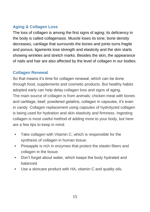#### **Aging & Collagen Loss**

The loss of collagen is among the first signs of aging; its deficiency in the body is called collagenasis. Muscle loses its tone, bone density decreases, cartilage that surrounds the bones and joints turns fragile and porous, ligaments lose strength and elasticity and the skin starts showing wrinkles and stretch marks. Besides the skin, the appearance of nails and hair are also affected by the level of collagen in our bodies.

### **Collagen Renewal**

So that means it's time for collagen renewal, which can be done through food, supplements and cosmetic products. But healthy habits adopted early can help delay collagen loss and signs of aging. The main source of collagen is from animals; chicken meat with bones and cartilage, beef, powdered gelatins, collagen in capsules, it's even in candy. Collagen replacement using capsules of hydrolyzed collagen is being used for hydration and skin elasticity and firmness. Ingesting collagen is most useful method of adding more to your body, but here are a few tips to keep in mind:

- **Take collagen with Vitamin C, which is responsible for the** synthesis of collagen in human tissue.
- **Pineapple is rich in enzymes that protect the elastin fibers and** collagen in the tissue.
- Don't forget about water, which keeps the body hydrated and balanced.
- Use a skincare product with HA, vitamin C and quality oils.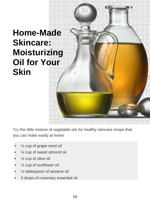### **Home-Made Skincare: Moisturizing Oil for Your Skin**

Try this little mixture of vegetable oils for healthy skincare recipe that you can make easily at home:

- ¼ cup of grape seed oil
- ¼ cup of sweet almond oil
- ¼ cup of olive oil
- ¼ cup of sunflower oil
- ½ tablespoon of sesame oil
- 5 drops of rosemary essential oil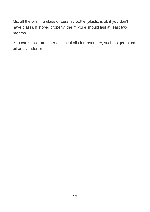Mix all the oils in a glass or ceramic bottle (plastic is ok if you don't have glass). If stored properly, the mixture should last at least two months.

You can substitute other essential oils for rosemary, such as geranium oil or lavender oil.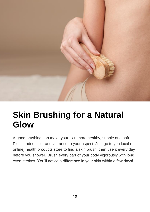

### **Skin Brushing for a Natural Glow**

A good brushing can make your skin more healthy, supple and soft. Plus, it adds color and vibrance to your aspect. Just go to you local (or online) health products store to find a skin brush, then use it every day before you shower. Brush every part of your body vigorously with long, even strokes. You'll notice a difference in your skin within a few days!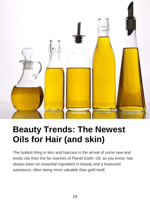

## **Beauty Trends: The Newest Oils for Hair (and skin)**

The hottest thing in skin and haircare is the arrival of some new and exotic oils from the far reaches of Planet Earth. Oil, as you know, has always been an essential ingredient in beauty and a treasured substance, often being more valuable than gold itself.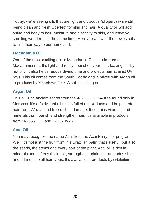Today, we're seeing oils that are light and viscous (slippery) while still being clean and fresh…perfect for skin and hair. A quality oil will add shine and body to hair, moisture and elasticity to skin, and leave you smelling wonderful at the same time! Here are a few of the newest oils to find their way to our homeland:

#### **Macadamia Oil**

One of the most exciting oils is Macadamia Oil…made from the Macadamia nut. It's light and really nourishes your hair, leaving it silky, not oily. It also helps reduce drying time and protects hair against UV rays. This oil comes from the South Pacific and is mixed with Argan oil in products by [Macadamia Hair](http://www.macadamiahair.com/). Worth checking out!

#### **Argan Oil**

This oil is an ancient secret from the *Argania Spinosa* tree found only in Morocco. It's a fairly light oil that is full of antioxidants and helps protect hair from UV rays and free radical damage. It contains vitamins and minerals that nourish and strengthen hair. It's available in products from [Moroccan Oil](http://www.moroccanoil.com/) and [Earthly Body](http://www.earthlybody.com/).

### **Acai Oil**

You may recognize the name Acai from the Acai Berry diet programs. Well, it's not just the fruit from this Brazilian palm that's useful, but also the seeds, the stems and every part of the plant. Acai oil is rich in minerals and softens thick hair, strengthens brittle hair and adds shine and silkiness to all hair types. It's available in products by [defabulous](http://www.defabulous.com/).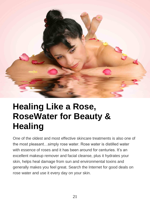

### **Healing Like a Rose, RoseWater for Beauty & Healing**

One of the oldest and most effective skincare treatments is also one of the most pleasant…simply rose water. Rose water is distilled water with essence of roses and it has been around for centuries. It's an excellent makeup remover and facial cleanse, plus it hydrates your skin, helps heal damage from sun and environmental toxins and generally makes you feel great. Search the Internet for good deals on rose water and use it every day on your skin.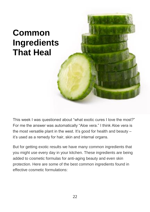## **Common Ingredients That Heal**

This week I was questioned about "what exotic cures I love the most?" For me the answer was automatically "Aloe vera." I think Aloe vera is the most versatile plant in the west. It's good for health and beauty – it's used as a remedy for hair, skin and internal organs.

But for getting exotic results we have many common ingredients that you might use every day in your kitchen. These ingredients are being added to cosmetic formulas for anti-aging beauty and even skin protection. Here are some of the best common ingredients found in effective cosmetic formulations: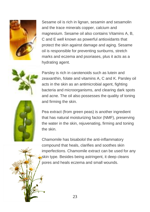

Sesame oil is rich in lignan, sesamin and sesamolin and the trace minerals copper, calcium and magnesium. Sesame oil also contains Vitamins A, B, C and E well known as powerful antioxidants that protect the skin against damage and aging. Sesame oil is responsible for preventing sunburns, stretch marks and eczema and psoriases, plus it acts as a hydrating agent.



Parsley is rich in carotenoids such as lutein and zeaxanthin, folate and vitamins A, C and K. Parsley oil acts in the skin as an antimicrobial agent, fighting bacteria and microorganisms, and clearing dark spots and acne. The oil also possesses the quality of toning and firming the skin.



Pea extract (from green peas) is another ingredient that has natural moisturizing factor (NMF), preserving the water in the skin, rejuvenating, firming and toning the skin.

Chamomile has bisabolol the anti-inflammatory compound that heals, clarifies and soothes skin imperfections. Chamomile extract can be used for any skin type. Besides being astringent, it deep cleans pores and heals eczema and small wounds.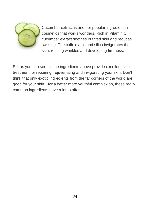

Cucumber extract is another popular ingredient in cosmetics that works wonders. Rich in Vitamin C, cucumber extract soothes irritated skin and reduces swelling. The caffeic acid and silica invigorates the skin, refining wrinkles and developing firmness.

So, as you can see, all the ingredients above provide excellent skin treatment for repairing, rejuvenating and invigorating your skin. Don't think that only exotic ingredients from the far corners of the world are good for your skin…for a better more youthful complexion, these really common ingredients have a lot to offer.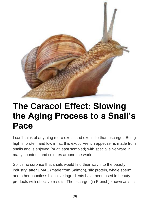

### **The Caracol Effect: Slowing the Aging Process to a Snail's Pace**

I can't think of anything more exotic and exquisite than escargot. Being high in protein and low in fat, this exotic French appetizer is made from snails and is enjoyed (or at least sampled) with special silverware in many countries and cultures around the world.

So it's no surprise that snails would find their way into the beauty industry, after DMAE (made from Salmon), silk protein, whale sperm and other countless bioactive ingredients have been used in beauty products with effective results. The escargot (in French) known as snail